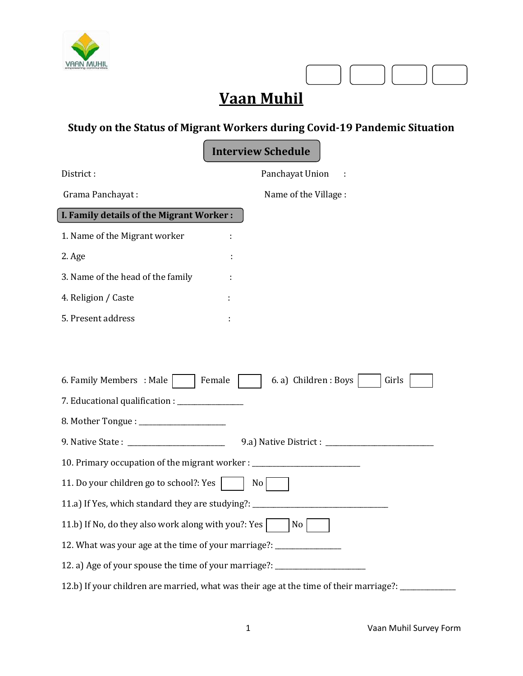

# **Vaan Muhil**

## **Study on the Status of Migrant Workers during Covid-19 Pandemic Situation**

**Interview Schedule**

| District:                                                            | Panchayat Union                                                                        |  |
|----------------------------------------------------------------------|----------------------------------------------------------------------------------------|--|
| Grama Panchayat:                                                     | Name of the Village :                                                                  |  |
| I. Family details of the Migrant Worker:                             |                                                                                        |  |
| 1. Name of the Migrant worker                                        |                                                                                        |  |
| 2. Age                                                               |                                                                                        |  |
| 3. Name of the head of the family                                    |                                                                                        |  |
| 4. Religion / Caste                                                  |                                                                                        |  |
| 5. Present address                                                   |                                                                                        |  |
|                                                                      |                                                                                        |  |
|                                                                      |                                                                                        |  |
| 6. Family Members : Male                                             | Female<br>6. a) Children : Boys<br>Girls                                               |  |
|                                                                      |                                                                                        |  |
|                                                                      |                                                                                        |  |
|                                                                      |                                                                                        |  |
|                                                                      | 10. Primary occupation of the migrant worker : _________________________________       |  |
| 11. Do your children go to school?: Yes<br>No                        |                                                                                        |  |
|                                                                      | 11.a) If Yes, which standard they are studying?: _______________________________       |  |
| 11.b) If No, do they also work along with you?: Yes                  | $\overline{\phantom{a}}$ No                                                            |  |
| 12. What was your age at the time of your marriage?: _______________ |                                                                                        |  |
|                                                                      | 12. a) Age of your spouse the time of your marriage?: __________________________       |  |
|                                                                      | 12.b) If your children are married, what was their age at the time of their marriage?: |  |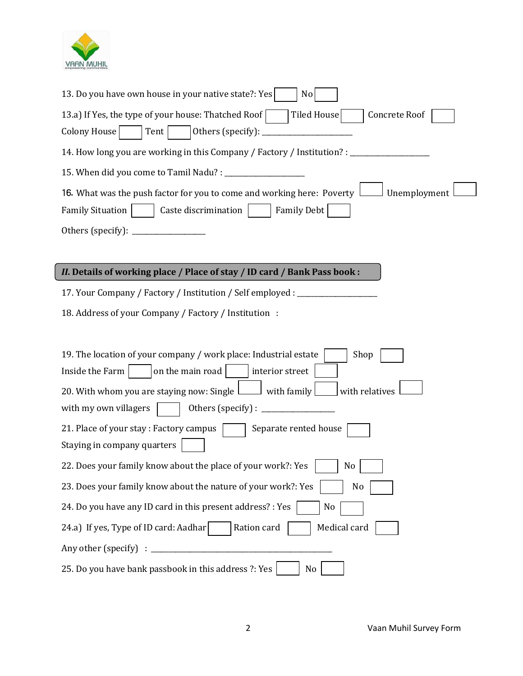

| 13. Do you have own house in your native state?: Yes<br>No                                                                                                                                                                                                                                        |
|---------------------------------------------------------------------------------------------------------------------------------------------------------------------------------------------------------------------------------------------------------------------------------------------------|
| Tiled House<br>Concrete Roof<br>13.a) If Yes, the type of your house: Thatched Roof<br><b>Colony House</b><br>Others (specify):<br>Tent                                                                                                                                                           |
| 14. How long you are working in this Company / Factory / Institution? :                                                                                                                                                                                                                           |
| 15. When did you come to Tamil Nadu? : _                                                                                                                                                                                                                                                          |
| 16. What was the push factor for you to come and working here: Poverty 1<br>Unemployment<br><b>Family Situation</b><br><b>Family Debt</b><br>Caste discrimination<br>Others (specify):                                                                                                            |
| II. Details of working place / Place of stay / ID card / Bank Pass book :                                                                                                                                                                                                                         |
| 17. Your Company / Factory / Institution / Self employed : ____                                                                                                                                                                                                                                   |
| 18. Address of your Company / Factory / Institution :                                                                                                                                                                                                                                             |
| 19. The location of your company / work place: Industrial estate<br>Shop<br>Inside the Farm<br>on the main road<br>interior street<br>20. With whom you are staying now: Single L<br>with relatives<br>$\Box$ with family<br>with my own villagers<br>Others (specify) : $\overline{\phantom{a}}$ |
| 21. Place of your stay: Factory campus<br>Separate rented house<br>Staying in company quarters                                                                                                                                                                                                    |
| 22. Does your family know about the place of your work?: Yes<br>No                                                                                                                                                                                                                                |
| 23. Does your family know about the nature of your work?: Yes<br>N <sub>0</sub>                                                                                                                                                                                                                   |
| 24. Do you have any ID card in this present address? : Yes<br>No<br>Medical card<br>24.a) If yes, Type of ID card: Aadhar<br>Ration card                                                                                                                                                          |
| Any other (specify)                                                                                                                                                                                                                                                                               |
| 25. Do you have bank passbook in this address ?: Yes<br>No                                                                                                                                                                                                                                        |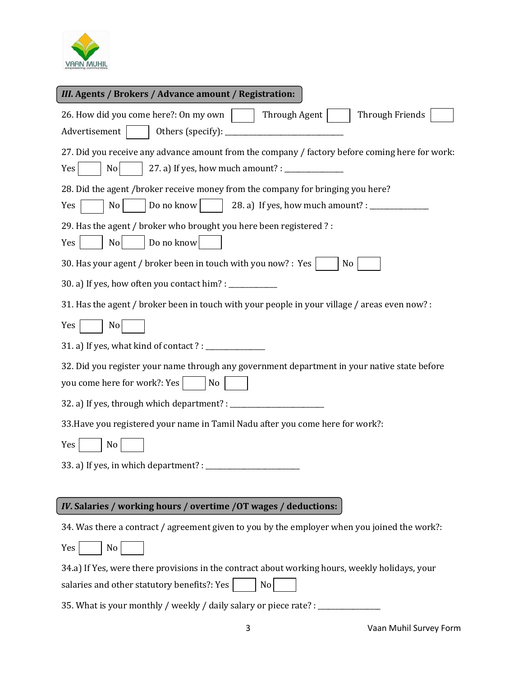

| III. Agents / Brokers / Advance amount / Registration:                                                                                                      |
|-------------------------------------------------------------------------------------------------------------------------------------------------------------|
| 26. How did you come here?: On my own<br>Through Agent<br>Through Friends<br>Advertisement                                                                  |
| 27. Did you receive any advance amount from the company / factory before coming here for work:<br>No<br>Yes                                                 |
| 28. Did the agent /broker receive money from the company for bringing you here?<br>Do no know<br>28. a) If yes, how much amount? : ___________<br>No<br>Yes |
| 29. Has the agent / broker who brought you here been registered ?:<br>Do no know<br>N <sub>o</sub><br>Yes                                                   |
| 30. Has your agent / broker been in touch with you now? : Yes<br>N <sub>0</sub>                                                                             |
|                                                                                                                                                             |
| 31. Has the agent / broker been in touch with your people in your village / areas even now? :                                                               |
| No<br>Yes                                                                                                                                                   |
|                                                                                                                                                             |
| 32. Did you register your name through any government department in your native state before<br>you come here for work?: Yes  <br>No                        |
| 32. a) If yes, through which department? : _                                                                                                                |
| 33. Have you registered your name in Tamil Nadu after you come here for work?:                                                                              |
| No<br>Yes                                                                                                                                                   |
| 33. a) If yes, in which department? :                                                                                                                       |
|                                                                                                                                                             |
| <i>IV.</i> Salaries / working hours / overtime / 0T wages / deductions:                                                                                     |
| 34. Was there a contract / agreement given to you by the employer when you joined the work?:                                                                |
| No<br>Yes                                                                                                                                                   |
| 34.a) If Yes, were there provisions in the contract about working hours, weekly holidays, your                                                              |
| salaries and other statutory benefits?: Yes<br>N <sub>o</sub>                                                                                               |
| 35. What is your monthly / weekly / daily salary or piece rate? :                                                                                           |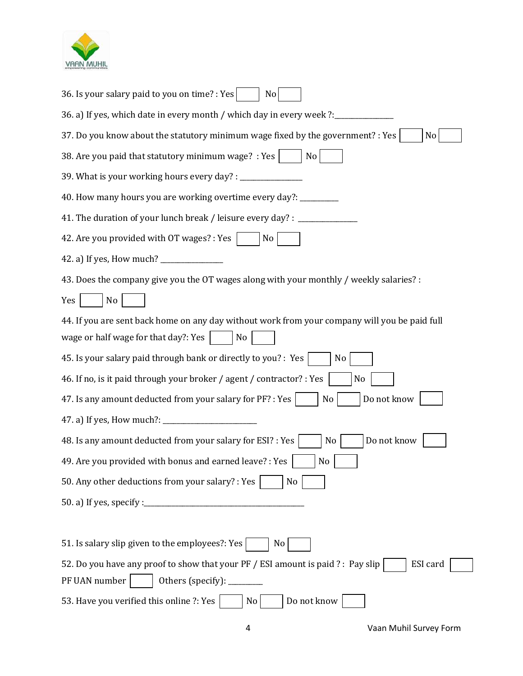

| 36. Is your salary paid to you on time? : Yes<br>N <sub>o</sub>                                                                                   |
|---------------------------------------------------------------------------------------------------------------------------------------------------|
| 36. a) If yes, which date in every month / which day in every week ?:_                                                                            |
| 37. Do you know about the statutory minimum wage fixed by the government? : Yes<br>No                                                             |
| 38. Are you paid that statutory minimum wage? : Yes<br>No                                                                                         |
| 39. What is your working hours every day? : _                                                                                                     |
| 40. How many hours you are working overtime every day?: _                                                                                         |
| 41. The duration of your lunch break / leisure every day? :                                                                                       |
| 42. Are you provided with OT wages? : Yes<br>No                                                                                                   |
|                                                                                                                                                   |
| 43. Does the company give you the OT wages along with your monthly / weekly salaries? :                                                           |
| No<br>Yes                                                                                                                                         |
| 44. If you are sent back home on any day without work from your company will you be paid full                                                     |
| wage or half wage for that day?: Yes<br>No                                                                                                        |
| 45. Is your salary paid through bank or directly to you? : Yes<br>N <sub>0</sub>                                                                  |
| 46. If no, is it paid through your broker / agent / contractor? : Yes<br>No                                                                       |
| 47. Is any amount deducted from your salary for PF? : Yes<br>Do not know<br>No                                                                    |
| 47. a) If yes, How much?:<br><u> 1980 - Jan James James James James James James James James James James James James James James James James J</u> |
| 48. Is any amount deducted from your salary for ESI? : Yes<br>Do not know<br>N <sub>0</sub>                                                       |
| 49. Are you provided with bonus and earned leave? : Yes<br>$\rm No$                                                                               |
| 50. Any other deductions from your salary? : Yes<br>No                                                                                            |
|                                                                                                                                                   |
|                                                                                                                                                   |
| 51. Is salary slip given to the employees?: Yes<br>No                                                                                             |
| 52. Do you have any proof to show that your PF / ESI amount is paid ? : Pay slip<br>ESI card                                                      |
| PF UAN number<br>Others (specify): ________                                                                                                       |
| 53. Have you verified this online ?: Yes<br>Do not know<br>N <sub>0</sub>                                                                         |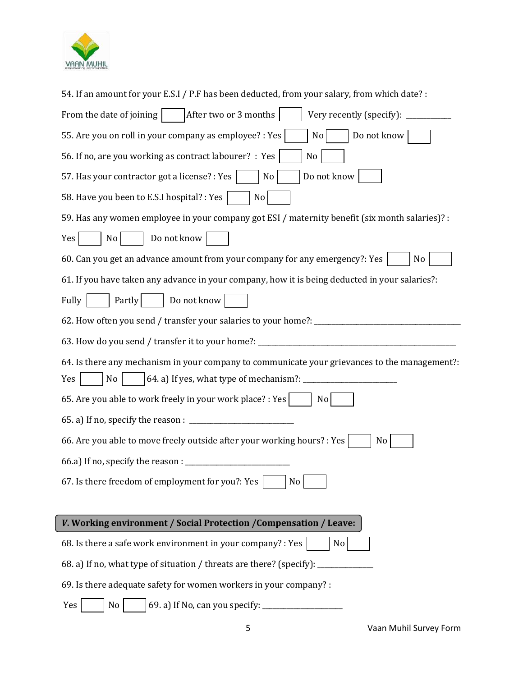

| 54. If an amount for your E.S.I / P.F has been deducted, from your salary, from which date? :              |
|------------------------------------------------------------------------------------------------------------|
| From the date of joining<br>After two or 3 months<br>Very recently (specify): $_{-}$                       |
| 55. Are you on roll in your company as employee? : Yes<br>Do not know<br>N <sub>0</sub>                    |
| 56. If no, are you working as contract labourer? : Yes<br>No                                               |
| Do not know<br>57. Has your contractor got a license? : Yes<br>No                                          |
| 58. Have you been to E.S.I hospital? : Yes<br>No                                                           |
| 59. Has any women employee in your company got ESI / maternity benefit (six month salaries)? :             |
| Do not know<br>No<br>Yes                                                                                   |
| 60. Can you get an advance amount from your company for any emergency?: Yes<br>N <sub>0</sub>              |
| 61. If you have taken any advance in your company, how it is being deducted in your salaries?:             |
| Do not know<br>Fully<br>Partly                                                                             |
| 62. How often you send / transfer your salaries to your home?: _________________                           |
| 63. How do you send / transfer it to your home?: _                                                         |
|                                                                                                            |
| 64. Is there any mechanism in your company to communicate your grievances to the management?:<br>No<br>Yes |
| 65. Are you able to work freely in your work place? : Yes<br>No                                            |
|                                                                                                            |
| 66. Are you able to move freely outside after your working hours? : Yes<br>No                              |
| 66.a) If no, specify the reason : ____                                                                     |
| 67. Is there freedom of employment for you?: Yes<br>No                                                     |
|                                                                                                            |
| V. Working environment / Social Protection / Compensation / Leave:                                         |
| 68. Is there a safe work environment in your company? : Yes<br>No                                          |
| 68. a) If no, what type of situation / threats are there? (specify):                                       |
| 69. Is there adequate safety for women workers in your company? :                                          |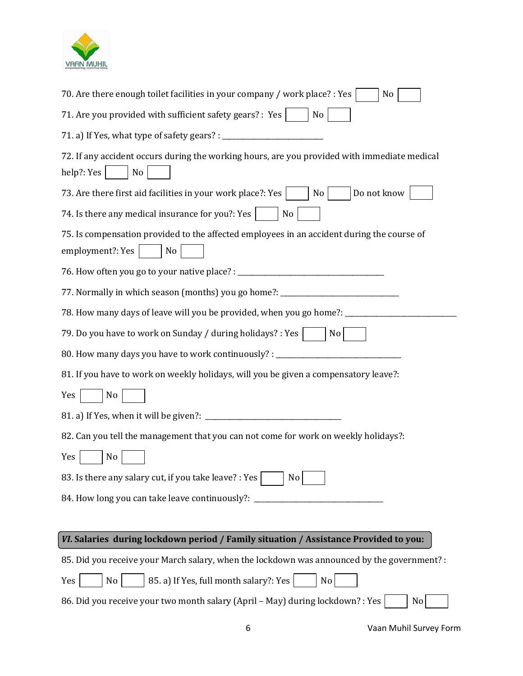

| 70. Are there enough toilet facilities in your company / work place? : Yes<br>No                                     |  |  |
|----------------------------------------------------------------------------------------------------------------------|--|--|
| 71. Are you provided with sufficient safety gears? : Yes  <br>No                                                     |  |  |
|                                                                                                                      |  |  |
| 72. If any accident occurs during the working hours, are you provided with immediate medical<br>help?: Yes<br>No     |  |  |
| Do not know<br>73. Are there first aid facilities in your work place?: Yes<br>$ $ No $ $                             |  |  |
| 74. Is there any medical insurance for you?: Yes<br>N <sub>o</sub>                                                   |  |  |
| 75. Is compensation provided to the affected employees in an accident during the course of<br>employment?: Yes<br>No |  |  |
|                                                                                                                      |  |  |
| 77. Normally in which season (months) you go home?: ____________________________                                     |  |  |
| 78. How many days of leave will you be provided, when you go home?: ____________                                     |  |  |
| 79. Do you have to work on Sunday / during holidays? : Yes  <br>N <sub>o</sub>                                       |  |  |
| 80. How many days you have to work continuously? : _____________________________                                     |  |  |
| 81. If you have to work on weekly holidays, will you be given a compensatory leave?:                                 |  |  |
| Yes<br>No                                                                                                            |  |  |
|                                                                                                                      |  |  |
| 82. Can you tell the management that you can not come for work on weekly holidays?:                                  |  |  |
| Yes<br>N <sub>o</sub>                                                                                                |  |  |
| 83. Is there any salary cut, if you take leave? : Yes<br>No                                                          |  |  |
| 84. How long you can take leave continuously?: _                                                                     |  |  |
|                                                                                                                      |  |  |
| VI. Salaries during lockdown period / Family situation / Assistance Provided to you:                                 |  |  |
| 85. Did you receive your March salary, when the lockdown was announced by the government? :                          |  |  |
| 85. a) If Yes, full month salary?: Yes<br>N <sub>o</sub><br>No<br>Yes                                                |  |  |
| 86. Did you receive your two month salary (April - May) during lockdown? : Yes<br>$\overline{N}$ o                   |  |  |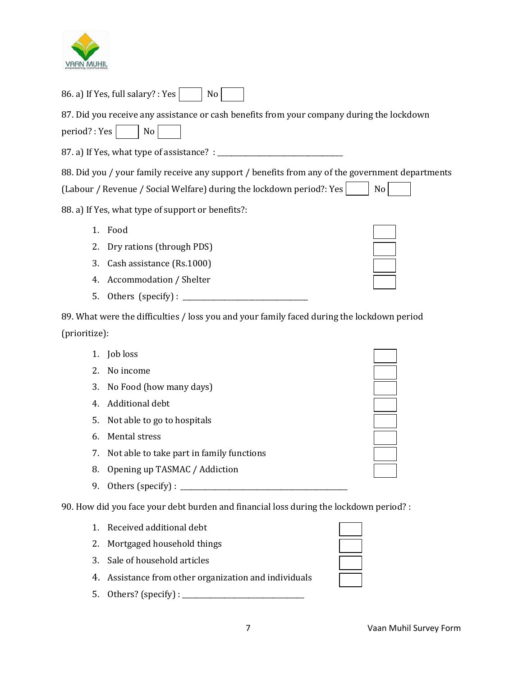

| 86. a) If Yes, full salary? : Yes<br>No                                                         |    |
|-------------------------------------------------------------------------------------------------|----|
| 87. Did you receive any assistance or cash benefits from your company during the lockdown       |    |
| period?: Yes<br>No                                                                              |    |
|                                                                                                 |    |
| 88. Did you / your family receive any support / benefits from any of the government departments |    |
| (Labour / Revenue / Social Welfare) during the lockdown period?: Yes                            | No |
| 88. a) If Yes, what type of support or benefits?:                                               |    |
| 1.<br>Food                                                                                      |    |
| 2.<br>Dry rations (through PDS)                                                                 |    |
| 3.<br>Cash assistance (Rs.1000)                                                                 |    |
| Accommodation / Shelter<br>4.                                                                   |    |
| 5.<br>Others (specify) : $\_\_$                                                                 |    |
| 89. What were the difficulties / loss you and your family faced during the lockdown period      |    |
| (prioritize):                                                                                   |    |
| Job loss<br>1.                                                                                  |    |
| 2.<br>No income                                                                                 |    |
| 3.<br>No Food (how many days)                                                                   |    |
| Additional debt<br>4.                                                                           |    |
| 5.<br>Not able to go to hospitals                                                               |    |
| Mental stress<br>6.                                                                             |    |
| Not able to take part in family functions<br>7.                                                 |    |
| Opening up TASMAC / Addiction<br>8.                                                             |    |
| 9.                                                                                              |    |
| 90. How did you face your debt burden and financial loss during the lockdown period? :          |    |
| Received additional debt<br>1.                                                                  |    |
| Mortgaged household things<br>2.                                                                |    |

- 3. Sale of household articles
- 4. Assistance from other organization and individuals
- 5. Others? (specify) : \_\_\_\_\_\_\_\_\_\_\_\_\_\_\_\_\_\_\_\_\_\_\_\_\_\_\_\_\_\_\_\_\_\_\_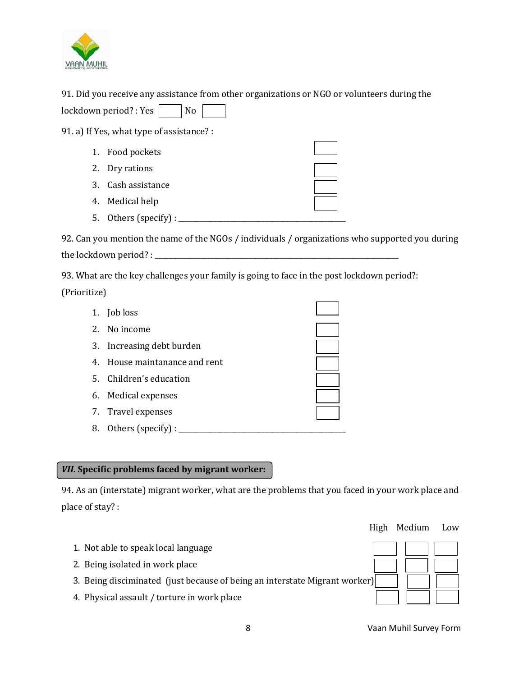

91. Did you receive any assistance from other organizations or NGO or volunteers during the  $\vert$ lockdown period? : Yes  $\vert$  | No

91. a) If Yes, what type of assistance? :

| 1. Food pockets       |  |
|-----------------------|--|
| 2. Dry rations        |  |
| 3. Cash assistance    |  |
| 4. Medical help       |  |
| 5. Others (specify) : |  |

92. Can you mention the name of the NGOs / individuals / organizations who supported you during the lockdown period? : \_\_\_\_\_\_\_\_\_\_\_\_\_\_\_\_\_\_\_\_\_\_\_\_\_\_\_\_\_\_\_\_\_\_\_\_\_\_\_\_\_\_\_\_\_\_\_\_\_\_\_\_\_\_\_\_\_\_\_\_\_\_\_\_\_\_\_\_\_\_

93. What are the key challenges your family is going to face in the post lockdown period?: (Prioritize)

| 1. Job loss                   |  |
|-------------------------------|--|
| 2. No income                  |  |
| 3. Increasing debt burden     |  |
| 4. House maintanance and rent |  |
| 5. Children's education       |  |
| 6. Medical expenses           |  |
| 7. Travel expenses            |  |
| 8. Others (specify):          |  |

## *VII***. Specific problems faced by migrant worker:**

94. As an (interstate) migrant worker, what are the problems that you faced in your work place and place of stay? :

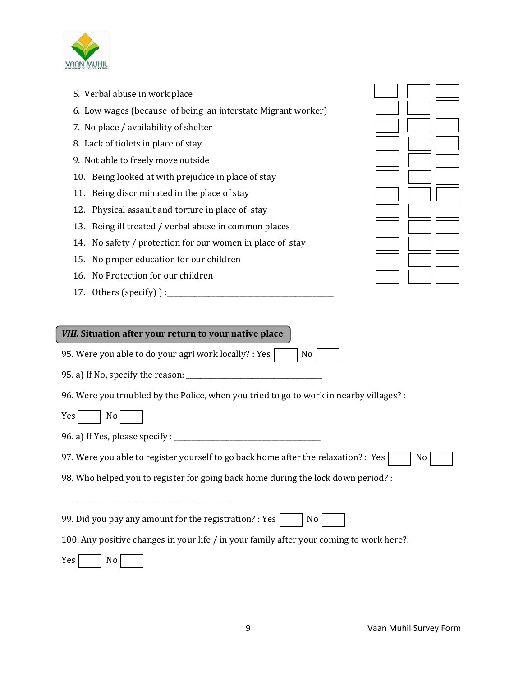

- 5. Verbal abuse in work place
- 6. Low wages (because of being an interstate Migrant worker)
- 7. No place / availability of shelter
- 8. Lack of tiolets in place of stay
- 9. Not able to freely move outside
- 10. Being looked at with prejudice in place of stay
- 11. Being discriminated in the place of stay
- 12. Physical assault and torture in place of stay
- 13. Being ill treated / verbal abuse in common places
- 14. No safety / protection for our women in place of stay
- 15. No proper education for our children
- 16. No Protection for our children
- 17. Others (specify)  $\cdot$

### *VIII***. Situation after your return to your native place**

95. Were you able to do your agri work locally? : Yes  $\vert \vert$  No

95. a) If No, specify the reason: \_\_\_\_\_\_\_\_\_\_\_\_\_\_\_\_\_\_\_\_\_\_\_\_\_\_\_\_\_\_\_\_\_\_\_\_\_\_\_

96. Were you troubled by the Police, when you tried to go to work in nearby villages? :

Yes | No

96. a) If Yes, please specify : \_\_\_\_\_\_\_\_\_\_\_\_\_\_\_\_\_\_\_\_\_\_\_\_\_\_\_\_\_\_\_\_\_\_\_\_\_\_\_\_\_\_

\_\_\_\_\_\_\_\_\_\_\_\_\_\_\_\_\_\_\_\_\_\_\_\_\_\_\_\_\_\_\_\_\_\_\_\_\_\_\_\_\_\_\_\_\_\_

97. Were you able to register yourself to go back home after the relaxation? : Yes  $\Box$  No

98. Who helped you to register for going back home during the lock down period? :

99. Did you pay any amount for the registration? : Yes  $\vert \vert$  No

100. Any positive changes in your life / in your family after your coming to work here?:

 $Yes \mid$  No